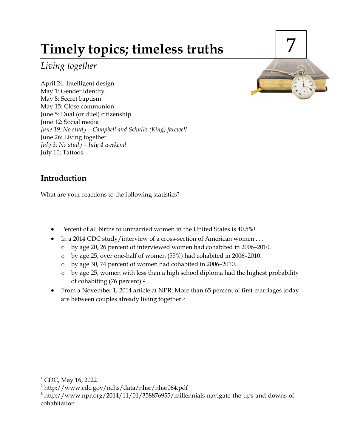# **Timely topics; timeless truths**

*Living together*

April 24: Intelligent design May 1: Gender identity May 8: Secret baptism May 15: Close communion June 5: Dual (or duel) citizenship June 12: Social media *June 19: No study – Campbell and Schultz (King) farewell* June 26: Living together *July 3: No study – July 4 weekend* July 10: Tattoos



# **Introduction**

What are your reactions to the following statistics?

- Percent of all births to unmarried women in the United States is  $40.5\%$ <sup>1</sup>
- In a 2014 CDC study/interview of a cross-section of American women . . .
	- o by age 20, 26 percent of interviewed women had cohabited in 2006–2010.
	- o by age 25, over one-half of women (55%) had cohabited in 2006–2010.
	- o by age 30, 74 percent of women had cohabited in 2006–2010.
	- $\circ$  by age 25, women with less than a high school diploma had the highest probability of cohabiting (76 percent).<sup>2</sup>
- From a November 1, 2014 article at NPR: More than 65 percent of first marriages today are between couples already living together. 3

 $\overline{a}$ <sup>1</sup> CDC, May 16, 2022

<sup>&</sup>lt;sup>2</sup> http://www.cdc.gov/nchs/data/nhsr/nhsr064.pdf

<sup>&</sup>lt;sup>3</sup> http://www.npr.org/2014/11/01/358876955/millennials-navigate-the-ups-and-downs-ofcohabitation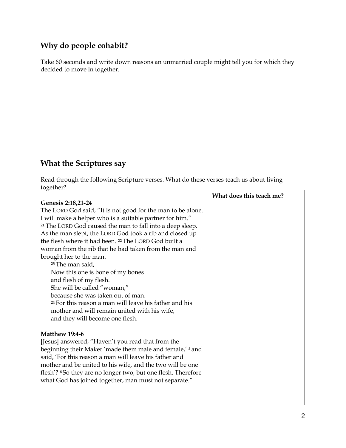# **Why do people cohabit?**

Take 60 seconds and write down reasons an unmarried couple might tell you for which they decided to move in together.

## **What the Scriptures say**

Read through the following Scripture verses. What do these verses teach us about living together?

#### **Genesis 2:18,21-24**

The LORD God said, "It is not good for the man to be alone. I will make a helper who is a suitable partner for him." **<sup>21</sup>** The LORD God caused the man to fall into a deep sleep. As the man slept, the LORD God took a rib and closed up the flesh where it had been. **<sup>22</sup>** The LORD God built a woman from the rib that he had taken from the man and brought her to the man. **<sup>23</sup>** The man said,

Now this one is bone of my bones and flesh of my flesh. She will be called "woman," because she was taken out of man. **<sup>24</sup>** For this reason a man will leave his father and his mother and will remain united with his wife, and they will become one flesh.

#### **Matthew 19:4-6**

[Jesus] answered, "Haven't you read that from the beginning their Maker 'made them male and female,' **<sup>5</sup>** and said, 'For this reason a man will leave his father and mother and be united to his wife, and the two will be one flesh'? **<sup>6</sup>** So they are no longer two, but one flesh. Therefore what God has joined together, man must not separate."

**What does this teach me?**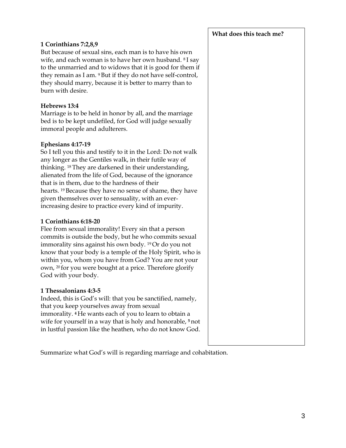#### **1 Corinthians 7:2,8,9**

But because of sexual sins, each man is to have his own wife, and each woman is to have her own husband. <sup>8</sup> I say to the unmarried and to widows that it is good for them if they remain as I am. <sup>9</sup> But if they do not have self-control, they should marry, because it is better to marry than to burn with desire.

#### **Hebrews 13:4**

Marriage is to be held in honor by all, and the marriage bed is to be kept undefiled, for God will judge sexually immoral people and adulterers.

#### **Ephesians 4:17-19**

So I tell you this and testify to it in the Lord: Do not walk any longer as the Gentiles walk, in their futile way of thinking. <sup>18</sup> They are darkened in their understanding, alienated from the life of God, because of the ignorance that is in them, due to the hardness of their hearts. <sup>19</sup> Because they have no sense of shame, they have given themselves over to sensuality, with an everincreasing desire to practice every kind of impurity.

#### **1 Corinthians 6:18-20**

Flee from sexual immorality! Every sin that a person commits is outside the body, but he who commits sexual immorality sins against his own body. <sup>19</sup> Or do you not know that your body is a temple of the Holy Spirit, who is within you, whom you have from God? You are not your own, <sup>20</sup> for you were bought at a price. Therefore glorify God with your body.

#### **1 Thessalonians 4:3-5**

Indeed, this is God's will: that you be sanctified, namely, that you keep yourselves away from sexual immorality. **<sup>4</sup>** He wants each of you to learn to obtain a wife for yourself in a way that is holy and honorable, **<sup>5</sup>** not in lustful passion like the heathen, who do not know God.

**What does this teach me?**

Summarize what God's will is regarding marriage and cohabitation.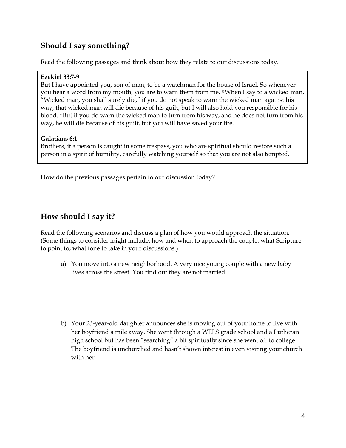# **Should I say something?**

Read the following passages and think about how they relate to our discussions today.

#### **Ezekiel 33:7-9**

But I have appointed you, son of man, to be a watchman for the house of Israel. So whenever you hear a word from my mouth, you are to warn them from me. <sup>8</sup>When I say to a wicked man, "Wicked man, you shall surely die," if you do not speak to warn the wicked man against his way, that wicked man will die because of his guilt, but I will also hold you responsible for his blood. <sup>9</sup> But if you do warn the wicked man to turn from his way, and he does not turn from his way, he will die because of his guilt, but you will have saved your life.

### **Galatians 6:1**

Brothers, if a person is caught in some trespass, you who are spiritual should restore such a person in a spirit of humility, carefully watching yourself so that you are not also tempted.

How do the previous passages pertain to our discussion today?

# **How should I say it?**

Read the following scenarios and discuss a plan of how you would approach the situation. (Some things to consider might include: how and when to approach the couple; what Scripture to point to; what tone to take in your discussions.)

- a) You move into a new neighborhood. A very nice young couple with a new baby lives across the street. You find out they are not married.
- b) Your 23-year-old daughter announces she is moving out of your home to live with her boyfriend a mile away. She went through a WELS grade school and a Lutheran high school but has been "searching" a bit spiritually since she went off to college. The boyfriend is unchurched and hasn't shown interest in even visiting your church with her.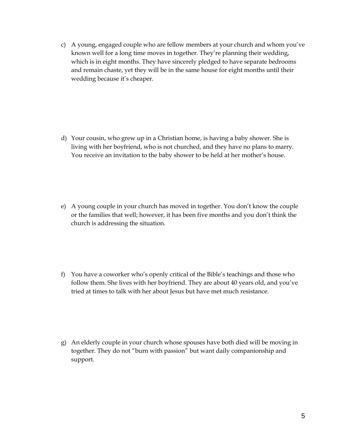c) A young, engaged couple who are fellow members at your church and whom you've known well for a long time moves in together. They're planning their wedding, which is in eight months. They have sincerely pledged to have separate bedrooms and remain chaste, yet they will be in the same house for eight months until their wedding because it's cheaper.

- d) Your cousin, who grew up in a Christian home, is having a baby shower. She is living with her boyfriend, who is not churched, and they have no plans to marry. You receive an invitation to the baby shower to be held at her mother's house.
- e) A young couple in your church has moved in together. You don't know the couple or the families that well; however, it has been five months and you don't think the church is addressing the situation.
- f) You have a coworker who's openly critical of the Bible's teachings and those who follow them. She lives with her boyfriend. They are about 40 years old, and you've tried at times to talk with her about Jesus but have met much resistance.
- g) An elderly couple in your church whose spouses have both died will be moving in together. They do not "burn with passion" but want daily companionship and support.